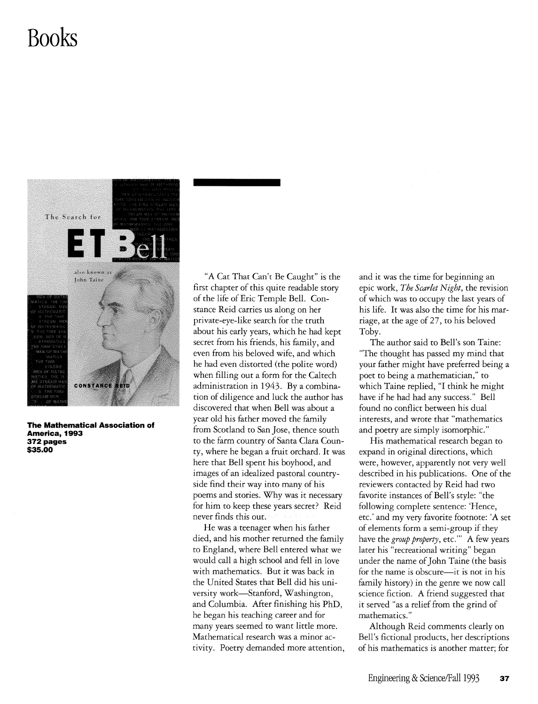## **Books**



**The Mathematical Association of America, 1993**  372 pages **\$35.00** 

"A Cat That Can't Be Caught" is the first chapter of this quite readable story of the life of Eric Temple Bell. Constance Reid carries us along on her private-eye-like search for the truth about his early years, which he had kept secret from his friends, his family, and even from his beloved wife, and which he had even distorted (the polite word) when filling out a form for the Caltech administration in 1943. By a combination of diligence and luck the author has discovered that when Bell was about a year old his father moved the family from Scotland to San Jose, thence south to the farm country of Santa Clara County, where he began a fruit orchard. It was here that Bell spent his boyhood, and images of an idealized pastoral countryside find their way into many of his poems and stories. Why was it necessary for him to keep these years secret? Reid never finds this out.

He was a teenager when his father died, and his mother rerurned the family to England, where Bell entered what we would call a high school and fell in love with mathematics. But it was back in the United States that Bell did his university work-Stanford, Washington, and Columbia. After finishing his PhD, he began his teaching career and for many years seemed to want little more. Mathematical research was a minor activity. Poetry demanded more attention, and it was the time for beginning an epic work, *The Scarlet Night,* the revision of which was to occupy the last years of his life. It was also the time for his marriage, at the age of 27, to his beloved Toby.

The author said to Bell's son Taine: "The thought has passed my mind that your father might have preferred being a poet to being a mathematician," to which Taine replied, "I think he might have if he had had any success." Bell found no conflict between his dual interests, and wrote that "mathematics and poetry are simply isomorphic."

His mathematical research began to expand in original directions, which were, however, apparently not very well described in his publications. One of the reviewers contacted by Reid had two favorite instances of Bell's style: "the following complete sentence: 'Hence, etc.' and my very favorite footnote: 'A set of elements form a semi-group if they have the *group property*, etc." A few years later his "recreational writing" began under the name of John Taine (the basis for the name is obscure-it is not in his family history) in the genre we now call science fiction. A friend suggested that it served "as a relief from the grind of mathematics."

Although Reid comments clearly on Bell's fictional products, her descriptions of his mathematics is another matter; for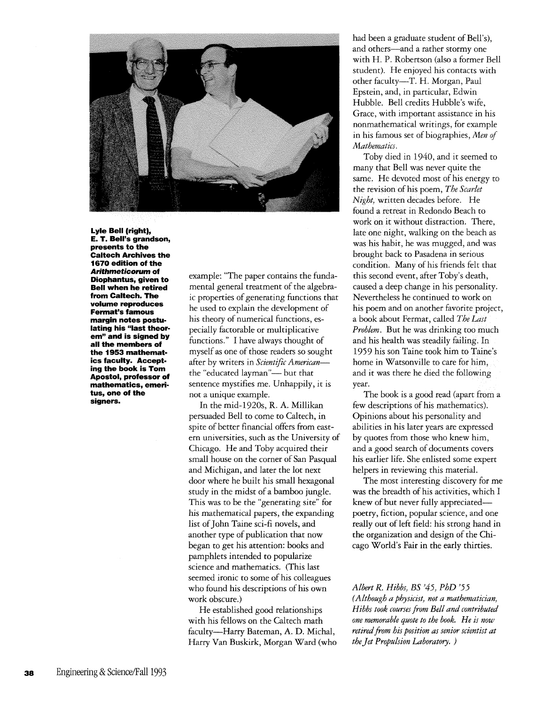

**Lyle Bell (right), E. T. Bell's grandson, presents to the Caltech Archives the 1670 edition of the Arithmeticorum of Diophantus, given to Bell when he retired from Caltech. The volume reproduces Fermat's famous margin notes postulating his "last theorem" and is signed by all the members of the 1953 mathematics faculty. Accepting the book is Tom Apostol, professor of mathematics, emeritus, one of the signers.** 

example: "The paper contains the fundamental general treatment of the algebraic properties of generating functions that he used to explain the development of his theory of numerical functions, especially factorable or multiplicative functions." I have always thought of myself as one of those readers so sought after by writers in *Scientific American*the "educated layman"- but that sentence mystifies me. Unhappily, it is not a unique example.

In the mid-1920s, R. A. Millikan persuaded Bell to come to Caltech, in spite of better financial offers from eastern universities, such as the University of Chicago. He and Toby acquired their small house on the corner of San Pasqual and Michigan, and later the lot next door where he built his small hexagonal study in the midst of a bamboo jungle. This was to be the "generating site" for his mathematical papers, the expanding list of John Taine sci-fi novels, and another type of publication that now began to get his attention: books and pamphlets intended to popularize science and mathematics. (This last seemed ironic to some of his colleagues who found his descriptions of his own work obscure.)

He established good relationships with his fellows on the Caltech math faculty-Harry Bateman, A. D. Michal, Harry Van Buskirk, Morgan Ward (who had been a graduate student of Bell's), and others-and a rather stormy one with H. P. Robertson (also a former Bell student). He enjoyed his contacts with other faculty-T. H. Morgan, Paul Epstein, and, in particular, Edwin Hubble. Bell credits Hubble's wife, Grace, with important assistance in his nonmathematical writings, for example in his famous set of biographies, *Men of Mathematics.* 

Toby died in 1940, and it seemed to many that Bell was never quite the same. He devoted most of his energy to the revision of his poem, *The Scarlet Night,* written decades before. He found a retreat in Redondo Beach to work on it without distraction. There, late one night, walking on the beach as was his habit, he was mugged, and was brought back to Pasadena in serious condition. Many of his friends felt that this second event, after Toby's death, caused a deep change in his personality. Nevertheless he continued to work on his poem and on another favorite project, a book about Fermat, called *The Last Problem.* But he was drinking too much and his health was steadily failing. In 1959 his son Taine took him to Taine's home in Watsonville to care for him, and it was there he died the following year.

The book is a good read (apart from a few descriptions of his mathematics). Opinions about his personality and abilities in his later years are expressed by quotes from those who knew him, and a good search of documents covers his earlier life. She enlisted some expert helpers in reviewing this material.

The most interesting discovery for me was the breadth of his activities, which I knew of but never fully appreciatedpoetry, fiction, popular science, and one really out of left field: his strong hand in the organization and design of the Chicago World's Fair in the early thirties.

*Albert R. Hibbs, BS* '45, *PhD '55* 

*(Although a physicist, not a mathematician, Hibbs took courses from Bell and contributed one memorable quote to the book. He is now retired from his position as senior scientist at theJet Propulsion Laboratory. )*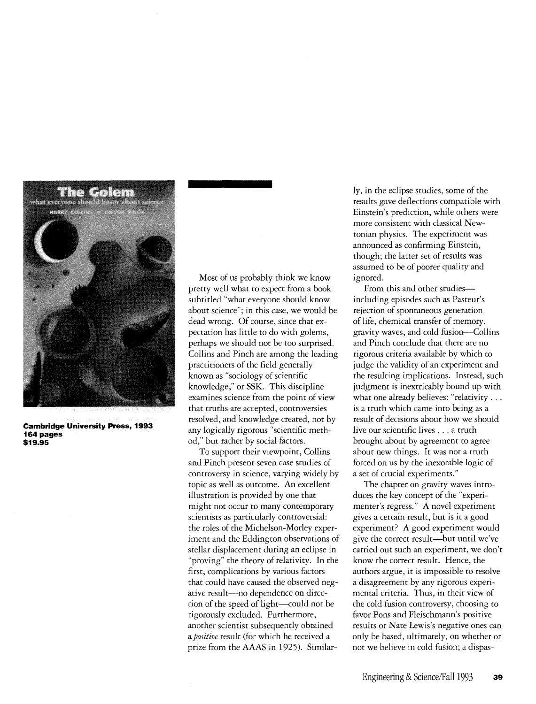

**Cambridge University Press, 1993 164 pages \$19.95** 

Most of us probably think we know pretty well what to expect from a book subtitled "what everyone should know abour science"; in this case, we would be dead wrong. Of course, since that expectation has little to do with golems, perhaps we should not be too surprised. Collins and Pinch are among the leading practitioners of the field generally known as "sociology of scientific knowledge," or SSK. This discipline examines science from the point of view that truths are accepted, controversies resolved, and knowledge created, not by any logically rigorous "scientific method," but rather by social factors.

To support their viewpoint, Collins and Pinch present seven case studies of controversy in science, varying widely by topic as well as outcome. An excellent illustration is provided by one that might not occur to many contemporary scientists as particulatly controversial: the roles of the Michelson-Morley experiment and the Eddington observations of stellar displacement during an eclipse in "proving" the theory of relativity. In the first, complications by various factors that could have caused the observed negative result-no dependence on direction of the speed of light-could not be rigorously excluded. Furthermore, another scientist subsequently obtained a *positive* result (for which he received a prize from the AAAS in 1925). Similarly, in the eclipse studies, some of the results gave deflections compatible with Einstein's prediction, while others were more consistent with classical Newtonian physics. The experiment was announced as confirming Einstein, though; the latter set of results was assumed ro be of poorer quality and ignored.

From this and other studiesincluding episodes such as Pasteur's rejection of spontaneous generation of life, chemical transfer of memory, gravity waves, and cold fusion-Collins and Pinch conclude that there are no rigorous criteria available by which to judge the validity of an experiment and the resulting implications. Instead, such judgment is inextricably bound up with what one already believes: "relativity . . . is a truth which came into being as a result of decisions abour how we should live our scientific lives ... a truth brought about by agreement to agree about new things. It was not a truth forced on us by the inexorable logic of a set of crucial experiments."

The chapter on gravity waves introduces the key concept of the "experimenter's regress." A novel experiment gives a certain result, bur is it a good experiment? A good experiment would give the correct result-but until we've carried out such an experiment, we don't know the correct result. Hence, the authors argue, it is impossible to resolve a disagreement by any rigorous experimental criteria. Thus, in their view of the cold fusion controversy, choosing to favor Pons and Fleischmann's positive results or Nate Lewis's negative ones can only be based, ultimately, on whether or not we believe in cold fusion; a dispas-